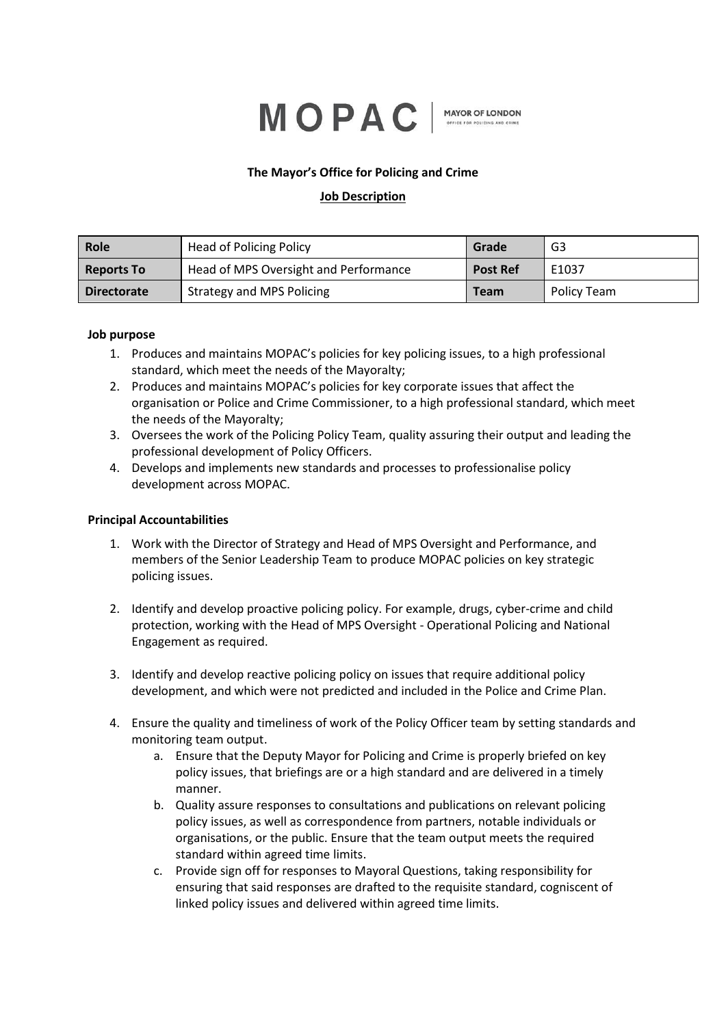# MOPAC

**MAYOR OF LONDON** 

## **The Mayor's Office for Policing and Crime**

## **Job Description**

| Role               | <b>Head of Policing Policy</b>        | Grade           | G3          |
|--------------------|---------------------------------------|-----------------|-------------|
| <b>Reports To</b>  | Head of MPS Oversight and Performance | <b>Post Ref</b> | E1037       |
| <b>Directorate</b> | <b>Strategy and MPS Policing</b>      | <b>Team</b>     | Policy Team |

#### **Job purpose**

- 1. Produces and maintains MOPAC's policies for key policing issues, to a high professional standard, which meet the needs of the Mayoralty;
- 2. Produces and maintains MOPAC's policies for key corporate issues that affect the organisation or Police and Crime Commissioner, to a high professional standard, which meet the needs of the Mayoralty;
- 3. Oversees the work of the Policing Policy Team, quality assuring their output and leading the professional development of Policy Officers.
- 4. Develops and implements new standards and processes to professionalise policy development across MOPAC.

## **Principal Accountabilities**

- 1. Work with the Director of Strategy and Head of MPS Oversight and Performance, and members of the Senior Leadership Team to produce MOPAC policies on key strategic policing issues.
- 2. Identify and develop proactive policing policy. For example, drugs, cyber-crime and child protection, working with the Head of MPS Oversight - Operational Policing and National Engagement as required.
- 3. Identify and develop reactive policing policy on issues that require additional policy development, and which were not predicted and included in the Police and Crime Plan.
- 4. Ensure the quality and timeliness of work of the Policy Officer team by setting standards and monitoring team output.
	- a. Ensure that the Deputy Mayor for Policing and Crime is properly briefed on key policy issues, that briefings are or a high standard and are delivered in a timely manner.
	- b. Quality assure responses to consultations and publications on relevant policing policy issues, as well as correspondence from partners, notable individuals or organisations, or the public. Ensure that the team output meets the required standard within agreed time limits.
	- c. Provide sign off for responses to Mayoral Questions, taking responsibility for ensuring that said responses are drafted to the requisite standard, cogniscent of linked policy issues and delivered within agreed time limits.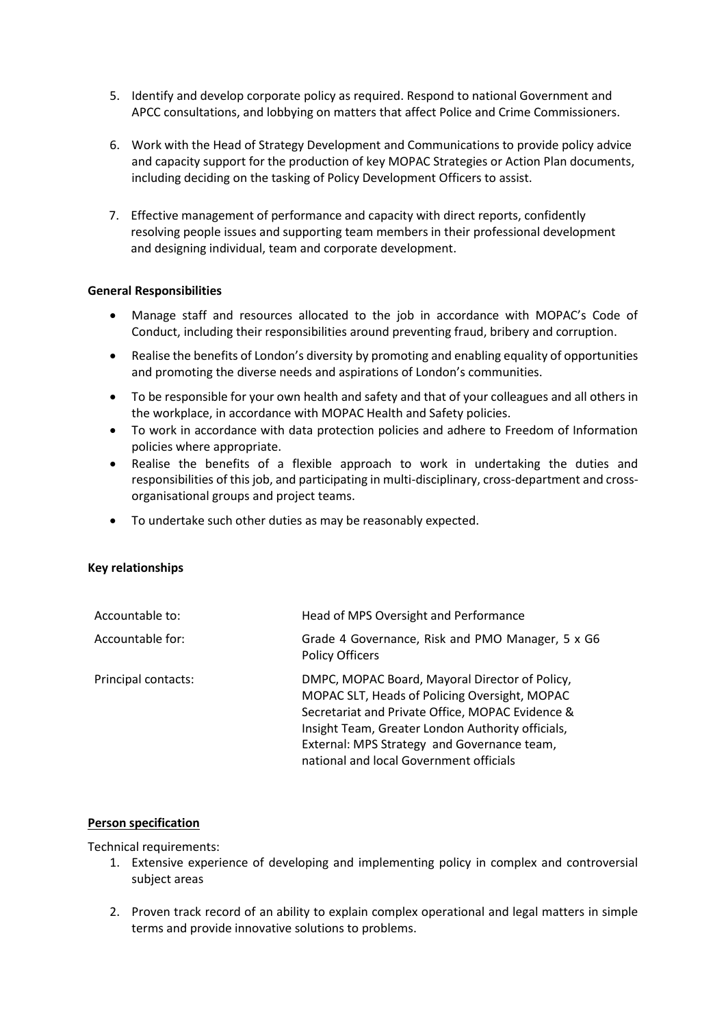- 5. Identify and develop corporate policy as required. Respond to national Government and APCC consultations, and lobbying on matters that affect Police and Crime Commissioners.
- 6. Work with the Head of Strategy Development and Communications to provide policy advice and capacity support for the production of key MOPAC Strategies or Action Plan documents, including deciding on the tasking of Policy Development Officers to assist.
- 7. Effective management of performance and capacity with direct reports, confidently resolving people issues and supporting team members in their professional development and designing individual, team and corporate development.

#### **General Responsibilities**

- Manage staff and resources allocated to the job in accordance with MOPAC's Code of Conduct, including their responsibilities around preventing fraud, bribery and corruption.
- Realise the benefits of London's diversity by promoting and enabling equality of opportunities and promoting the diverse needs and aspirations of London's communities.
- To be responsible for your own health and safety and that of your colleagues and all others in the workplace, in accordance with MOPAC Health and Safety policies.
- To work in accordance with data protection policies and adhere to Freedom of Information policies where appropriate.
- Realise the benefits of a flexible approach to work in undertaking the duties and responsibilities of this job, and participating in multi-disciplinary, cross-department and crossorganisational groups and project teams.
- To undertake such other duties as may be reasonably expected.

#### **Key relationships**

| Accountable to:     | Head of MPS Oversight and Performance                                                                                                                                                                                                                                                              |
|---------------------|----------------------------------------------------------------------------------------------------------------------------------------------------------------------------------------------------------------------------------------------------------------------------------------------------|
| Accountable for:    | Grade 4 Governance, Risk and PMO Manager, 5 x G6<br><b>Policy Officers</b>                                                                                                                                                                                                                         |
| Principal contacts: | DMPC, MOPAC Board, Mayoral Director of Policy,<br>MOPAC SLT, Heads of Policing Oversight, MOPAC<br>Secretariat and Private Office, MOPAC Evidence &<br>Insight Team, Greater London Authority officials,<br>External: MPS Strategy and Governance team,<br>national and local Government officials |

#### **Person specification**

Technical requirements:

- 1. Extensive experience of developing and implementing policy in complex and controversial subject areas
- 2. Proven track record of an ability to explain complex operational and legal matters in simple terms and provide innovative solutions to problems.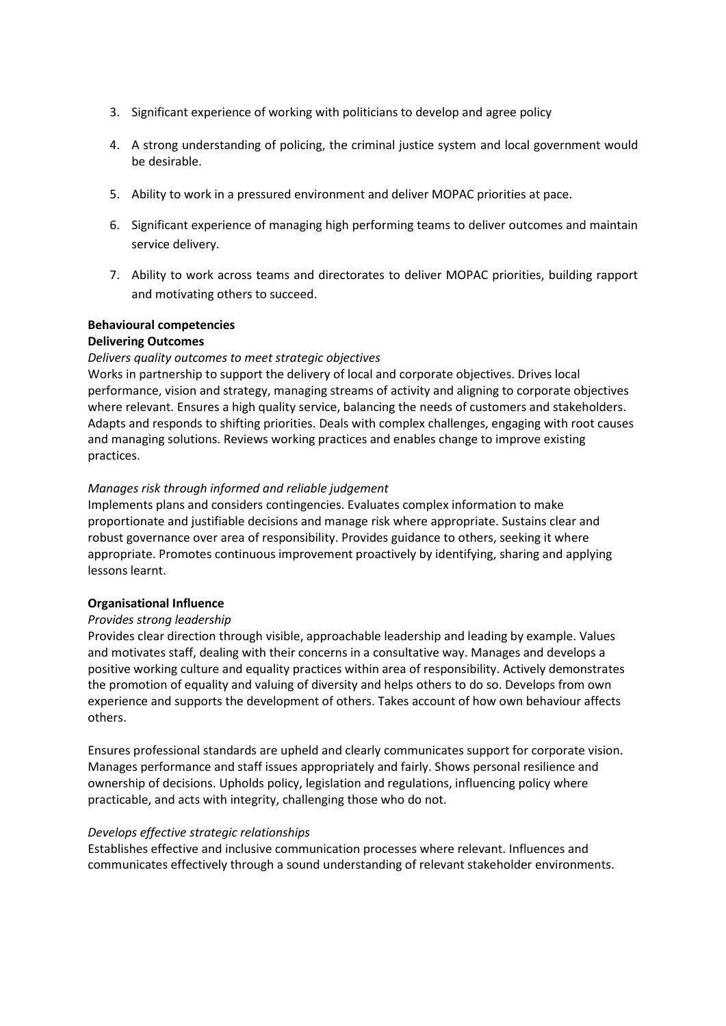- 3. Significant experience of working with politicians to develop and agree policy
- 4. A strong understanding of policing, the criminal justice system and local government would be desirable.
- 5. Ability to work in a pressured environment and deliver MOPAC priorities at pace.
- 6. Significant experience of managing high performing teams to deliver outcomes and maintain service delivery.
- 7. Ability to work across teams and directorates to deliver MOPAC priorities, building rapport and motivating others to succeed.

## **Behavioural competencies**

## **Delivering Outcomes**

## *Delivers quality outcomes to meet strategic objectives*

Works in partnership to support the delivery of local and corporate objectives. Drives local performance, vision and strategy, managing streams of activity and aligning to corporate objectives where relevant. Ensures a high quality service, balancing the needs of customers and stakeholders. Adapts and responds to shifting priorities. Deals with complex challenges, engaging with root causes and managing solutions. Reviews working practices and enables change to improve existing practices.

#### *Manages risk through informed and reliable judgement*

Implements plans and considers contingencies. Evaluates complex information to make proportionate and justifiable decisions and manage risk where appropriate. Sustains clear and robust governance over area of responsibility. Provides guidance to others, seeking it where appropriate. Promotes continuous improvement proactively by identifying, sharing and applying lessons learnt.

#### **Organisational Influence**

#### *Provides strong leadership*

Provides clear direction through visible, approachable leadership and leading by example. Values and motivates staff, dealing with their concerns in a consultative way. Manages and develops a positive working culture and equality practices within area of responsibility. Actively demonstrates the promotion of equality and valuing of diversity and helps others to do so. Develops from own experience and supports the development of others. Takes account of how own behaviour affects others.

Ensures professional standards are upheld and clearly communicates support for corporate vision. Manages performance and staff issues appropriately and fairly. Shows personal resilience and ownership of decisions. Upholds policy, legislation and regulations, influencing policy where practicable, and acts with integrity, challenging those who do not.

#### *Develops effective strategic relationships*

Establishes effective and inclusive communication processes where relevant. Influences and communicates effectively through a sound understanding of relevant stakeholder environments.